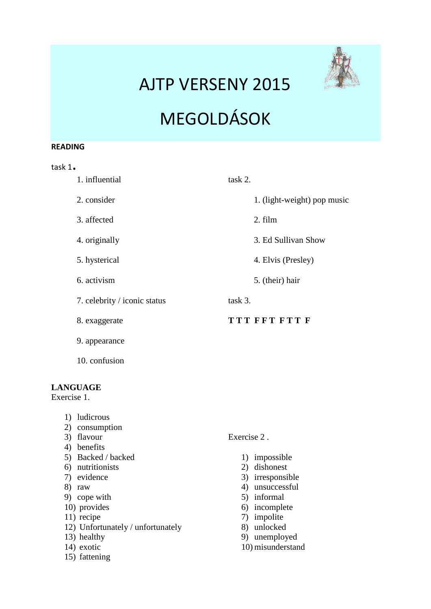## AJTP VERSENY 2015



# MEGOLDÁSOK

#### **READING**

task 1.

| 1. influential               | task 2. |                             |
|------------------------------|---------|-----------------------------|
| 2. consider                  |         | 1. (light-weight) pop music |
| 3. affected                  |         | 2. film                     |
| 4. originally                |         | 3. Ed Sullivan Show         |
| 5. hysterical                |         | 4. Elvis (Presley)          |
| 6. activism                  |         | 5. (their) hair             |
| 7. celebrity / iconic status | task 3. |                             |
| 8. exaggerate                |         | TTT FFT FTT F               |
| 9. appearance                |         |                             |
| 10. confusion                |         |                             |

#### **LANGUAGE**

Exercise 1.

- 1) ludicrous
- 2) consumption
- 3) flavour
- 4) benefits
- 5) Backed / backed
- 6) nutritionists
- 7) evidence
- 8) raw
- 9) cope with
- 10) provides
- 11) recipe
- 12) Unfortunately / unfortunately
- 13) healthy
- 14) exotic
- 15) fattening
- Exercise 2 .
	- 1) impossible
	- 2) dishonest
	- 3) irresponsible
	- 4) unsuccessful
	- 5) informal
	- 6) incomplete
	- 7) impolite
	- 8) unlocked
	- 9) unemployed
	- 10) misunderstand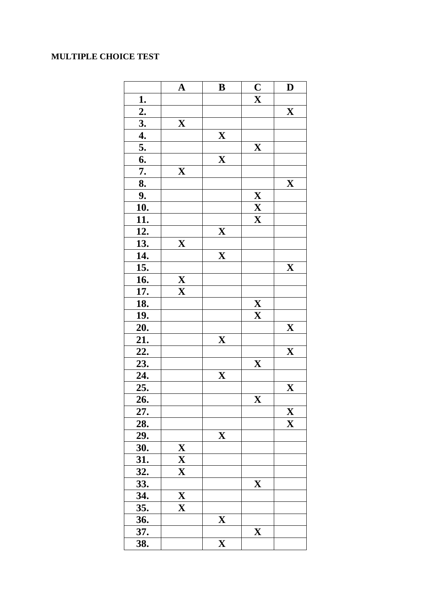### **MULTIPLE CHOICE TEST**

|                       | ${\bf A}$                                              | $\bf{B}$                  | $\overline{\mathbf{C}}$                    | D                         |
|-----------------------|--------------------------------------------------------|---------------------------|--------------------------------------------|---------------------------|
| <u>1.</u>             |                                                        |                           | $\overline{\mathbf{X}}$                    |                           |
|                       |                                                        |                           |                                            | $\mathbf{X}$              |
| $\frac{2.}{3.}$<br>4. | $\mathbf X$                                            |                           |                                            |                           |
|                       |                                                        | $\mathbf{X}$              |                                            |                           |
| 5.                    |                                                        |                           | $\mathbf X$                                |                           |
| 6.                    |                                                        | $\mathbf X$               |                                            |                           |
| 7.                    | $\mathbf{X}$                                           |                           |                                            |                           |
| 8.                    |                                                        |                           |                                            | $\mathbf X$               |
| 9.                    |                                                        |                           | $\overline{\mathbf{X}}$                    |                           |
| <u>10.</u>            |                                                        |                           |                                            |                           |
| $\overline{11}$ .     |                                                        |                           | $\frac{\overline{\mathbf{X}}}{\mathbf{X}}$ |                           |
| $\overline{12}$ .     |                                                        | $\mathbf X$               |                                            |                           |
| 13.                   | $\mathbf X$                                            |                           |                                            |                           |
| <u>14.</u>            |                                                        | $\mathbf X$               |                                            |                           |
| $\frac{15.}{16.}$     |                                                        |                           |                                            | X                         |
|                       | $\frac{\overline{\mathbf{X}}}{\underline{\mathbf{X}}}$ |                           |                                            |                           |
| $\overline{17}$ .     |                                                        |                           |                                            |                           |
| <u>18.</u>            |                                                        |                           | $\overline{\mathbf{X}}$                    |                           |
| 19.                   |                                                        |                           | $\mathbf{X}$                               |                           |
| 20.                   |                                                        |                           |                                            | $\mathbf X$               |
| 21.                   |                                                        | $\mathbf{X}$              |                                            |                           |
| <u>22.</u>            |                                                        |                           |                                            | $\mathbf{X}$              |
| <u>23.</u>            |                                                        |                           | $\boldsymbol{\mathrm{X}}$                  |                           |
|                       |                                                        | $\boldsymbol{\mathrm{X}}$ |                                            |                           |
| $\frac{24}{25}$       |                                                        |                           |                                            | $\mathbf{X}$              |
| 26.                   |                                                        |                           | X                                          |                           |
| 27.                   |                                                        |                           |                                            | $\boldsymbol{\mathrm{X}}$ |
| 28.                   |                                                        |                           |                                            | $\mathbf X$               |
| 29.                   |                                                        | $\mathbf X$               |                                            |                           |
| 30.                   |                                                        |                           |                                            |                           |
| 31.                   | $\frac{\mathbf{X}}{\mathbf{X}}$                        |                           |                                            |                           |
| 32.                   |                                                        |                           |                                            |                           |
| 33.                   |                                                        |                           | $\mathbf X$                                |                           |
| 34.                   | $\boldsymbol{\mathrm{X}}$                              |                           |                                            |                           |
| 35.                   | $\mathbf X$                                            |                           |                                            |                           |
| <u>36.</u>            |                                                        | $\mathbf X$               |                                            |                           |
| 37.                   |                                                        |                           | $\mathbf X$                                |                           |
| 38.                   |                                                        | $\overline{\mathbf{X}}$   |                                            |                           |